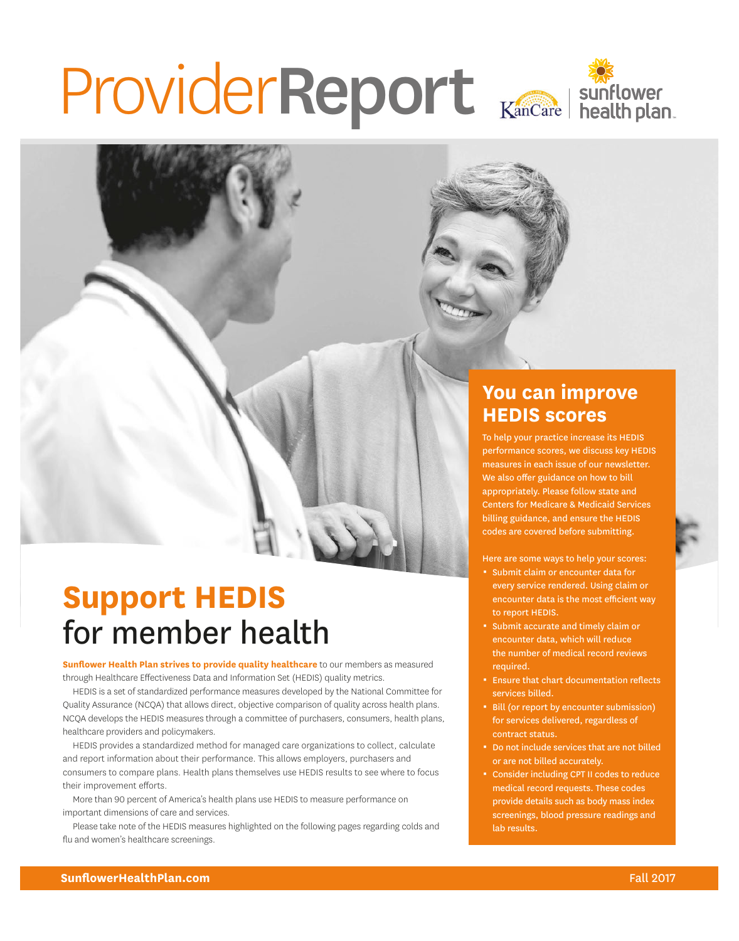# ProviderReport Kancare | sunflower





### **You can improve HEDIS scores**

To help your practice increase its HEDIS performance scores, we discuss key HEDIS measures in each issue of our newsletter. We also offer guidance on how to bill appropriately. Please follow state and Centers for Medicare & Medicaid Services billing guidance, and ensure the HEDIS codes are covered before submitting.

Here are some ways to help your scores:

- **Submit claim or encounter data for** every service rendered. Using claim or encounter data is the most efficient way to report HEDIS.
- **9 Submit accurate and timely claim or** encounter data, which will reduce the number of medical record reviews required.
- **Ensure that chart documentation reflects** services billed.
- <sup>■</sup> Bill (or report by encounter submission) for services delivered, regardless of contract status.
- 0 Do not include services that are not billed or are not billed accurately.
- Consider including CPT II codes to reduce medical record requests. These codes provide details such as body mass index screenings, blood pressure readings and lab results.

## **Support HEDIS** for member health

**Sunflower Health Plan strives to provide quality healthcare** to our members as measured through Healthcare Effectiveness Data and Information Set (HEDIS) quality metrics.

HEDIS is a set of standardized performance measures developed by the National Committee for Quality Assurance (NCQA) that allows direct, objective comparison of quality across health plans. NCQA develops the HEDIS measures through a committee of purchasers, consumers, health plans, healthcare providers and policymakers.

HEDIS provides a standardized method for managed care organizations to collect, calculate and report information about their performance. This allows employers, purchasers and consumers to compare plans. Health plans themselves use HEDIS results to see where to focus their improvement efforts.

More than 90 percent of America's health plans use HEDIS to measure performance on important dimensions of care and services.

Please take note of the HEDIS measures highlighted on the following pages regarding colds and flu and women's healthcare screenings.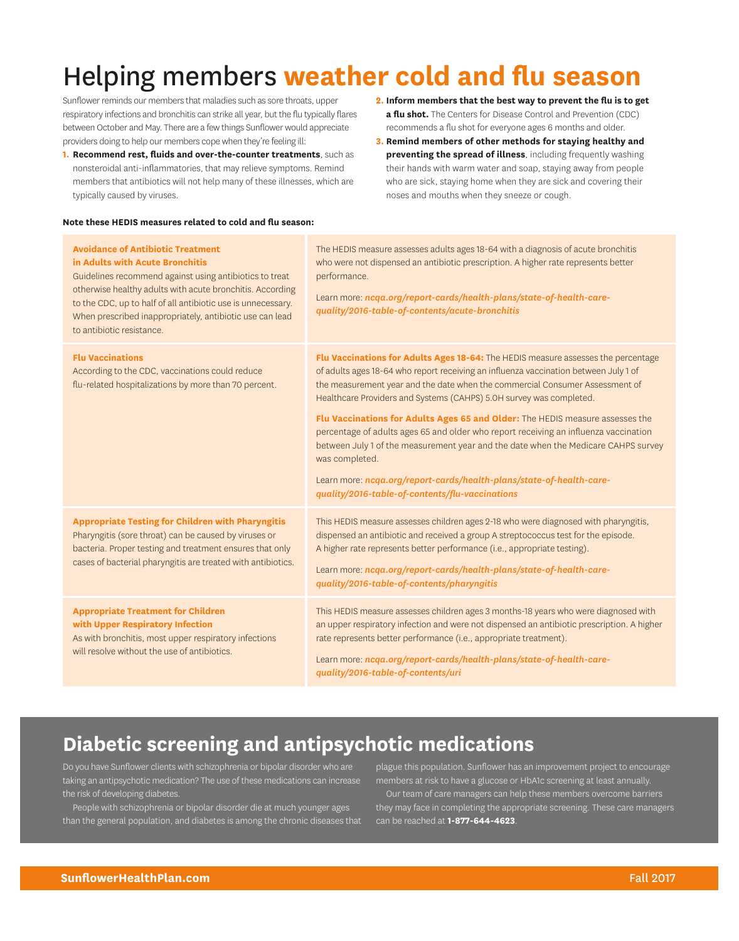### Helping members **weather cold and flu season**

Sunflower reminds our members that maladies such as sore throats, upper respiratory infections and bronchitis can strike all year, but the flu typically flares between October and May. There are a few things Sunflower would appreciate providers doing to help our members cope when they're feeling ill:

- **1. Recommend rest, fluids and over-the-counter treatments**, such as nonsteroidal anti-inflammatories, that may relieve symptoms. Remind members that antibiotics will not help many of these illnesses, which are typically caused by viruses.
- **2. Inform members that the best way to prevent the flu is to get a flu shot.** The Centers for Disease Control and Prevention (CDC) recommends a flu shot for everyone ages 6 months and older.
- **3. Remind members of other methods for staying healthy and preventing the spread of illness**, including frequently washing their hands with warm water and soap, staying away from people who are sick, staying home when they are sick and covering their noses and mouths when they sneeze or cough.

#### **Note these HEDIS measures related to cold and flu season:**

| <b>Avoidance of Antibiotic Treatment</b><br>in Adults with Acute Bronchitis<br>Guidelines recommend against using antibiotics to treat<br>otherwise healthy adults with acute bronchitis. According<br>to the CDC, up to half of all antibiotic use is unnecessary.<br>When prescribed inappropriately, antibiotic use can lead<br>to antibiotic resistance. | The HEDIS measure assesses adults ages 18-64 with a diagnosis of acute bronchitis<br>who were not dispensed an antibiotic prescription. A higher rate represents better<br>performance.<br>Learn more: ncqa.org/report-cards/health-plans/state-of-health-care-<br>quality/2016-table-of-contents/acute-bronchitis                                                                                                                                                                                                                                                                                                                                                                                                                           |
|--------------------------------------------------------------------------------------------------------------------------------------------------------------------------------------------------------------------------------------------------------------------------------------------------------------------------------------------------------------|----------------------------------------------------------------------------------------------------------------------------------------------------------------------------------------------------------------------------------------------------------------------------------------------------------------------------------------------------------------------------------------------------------------------------------------------------------------------------------------------------------------------------------------------------------------------------------------------------------------------------------------------------------------------------------------------------------------------------------------------|
| <b>Flu Vaccinations</b><br>According to the CDC, vaccinations could reduce<br>flu-related hospitalizations by more than 70 percent.                                                                                                                                                                                                                          | Flu Vaccinations for Adults Ages 18-64: The HEDIS measure assesses the percentage<br>of adults ages 18-64 who report receiving an influenza vaccination between July 1 of<br>the measurement year and the date when the commercial Consumer Assessment of<br>Healthcare Providers and Systems (CAHPS) 5.0H survey was completed.<br>Flu Vaccinations for Adults Ages 65 and Older: The HEDIS measure assesses the<br>percentage of adults ages 65 and older who report receiving an influenza vaccination<br>between July 1 of the measurement year and the date when the Medicare CAHPS survey<br>was completed.<br>Learn more: ncqa.org/report-cards/health-plans/state-of-health-care-<br>quality/2016-table-of-contents/flu-vaccinations |
| <b>Appropriate Testing for Children with Pharyngitis</b><br>Pharyngitis (sore throat) can be caused by viruses or<br>bacteria. Proper testing and treatment ensures that only<br>cases of bacterial pharyngitis are treated with antibiotics.                                                                                                                | This HEDIS measure assesses children ages 2-18 who were diagnosed with pharyngitis,<br>dispensed an antibiotic and received a group A streptococcus test for the episode.<br>A higher rate represents better performance (i.e., appropriate testing).<br>Learn more: ncqa.org/report-cards/health-plans/state-of-health-care-<br>quality/2016-table-of-contents/pharyngitis                                                                                                                                                                                                                                                                                                                                                                  |
| <b>Appropriate Treatment for Children</b><br>with Upper Respiratory Infection<br>As with bronchitis, most upper respiratory infections<br>will resolve without the use of antibiotics.                                                                                                                                                                       | This HEDIS measure assesses children ages 3 months-18 years who were diagnosed with<br>an upper respiratory infection and were not dispensed an antibiotic prescription. A higher<br>rate represents better performance (i.e., appropriate treatment).<br>Learn more: ncqa.org/report-cards/health-plans/state-of-health-care-<br>quality/2016-table-of-contents/uri                                                                                                                                                                                                                                                                                                                                                                         |

#### **Diabetic screening and antipsychotic medications**

Do you have Sunflower clients with schizophrenia or bipolar disorder who are taking an antipsychotic medication? The use of these medications can increase the risk of developing diabetes.

People with schizophrenia or bipolar disorder die at much younger ages than the general population, and diabetes is among the chronic diseases that plague this population. Sunflower has an improvement project to encourage members at risk to have a glucose or HbA1c screening at least annually.

Our team of care managers can help these members overcome barriers they may face in completing the appropriate screening. These care managers can be reached at **1-877-644-4623**.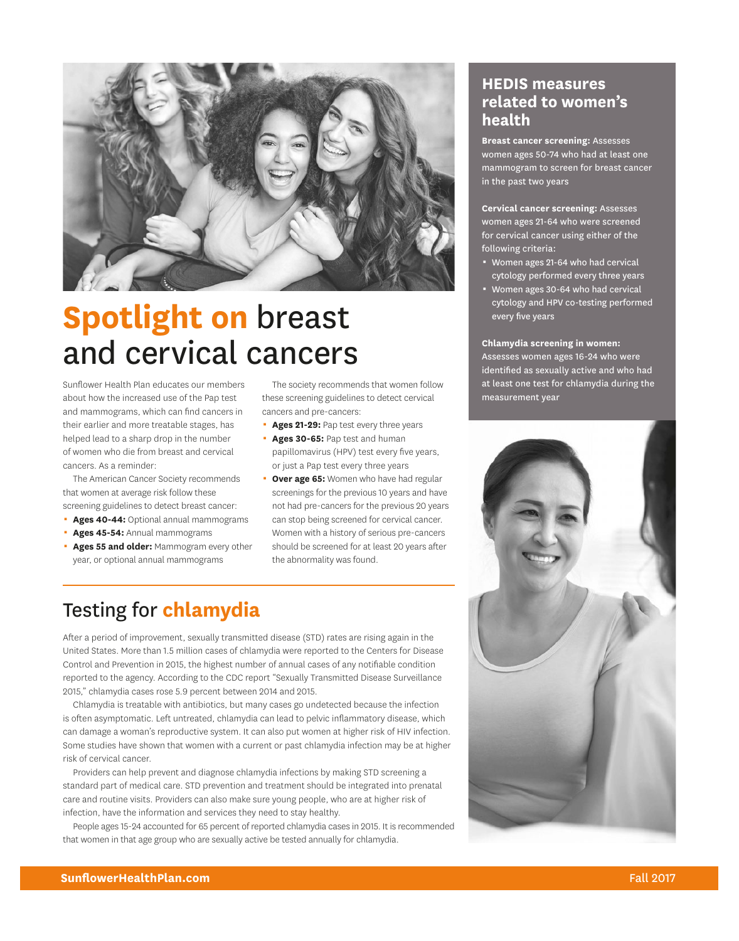

# **Spotlight on** breast and cervical cancers

Sunflower Health Plan educates our members about how the increased use of the Pap test and mammograms, which can find cancers in their earlier and more treatable stages, has helped lead to a sharp drop in the number of women who die from breast and cervical cancers. As a reminder:

The American Cancer Society recommends that women at average risk follow these screening guidelines to detect breast cancer:

- **Ages 40-44:** Optional annual mammograms
- **Ages 45-54: Annual mammograms**
- Ages 55 and older: Mammogram every other year, or optional annual mammograms

The society recommends that women follow these screening guidelines to detect cervical cancers and pre-cancers:

- **Ages 21-29:** Pap test every three years
- **Ages 30-65: Pap test and human** papillomavirus (HPV) test every five years, or just a Pap test every three years
- **Over age 65:** Women who have had regular screenings for the previous 10 years and have not had pre-cancers for the previous 20 years can stop being screened for cervical cancer. Women with a history of serious pre-cancers should be screened for at least 20 years after the abnormality was found.

### Testing for **chlamydia**

After a period of improvement, sexually transmitted disease (STD) rates are rising again in the United States. More than 1.5 million cases of chlamydia were reported to the Centers for Disease Control and Prevention in 2015, the highest number of annual cases of any notifiable condition reported to the agency. According to the CDC report "Sexually Transmitted Disease Surveillance 2015," chlamydia cases rose 5.9 percent between 2014 and 2015.

Chlamydia is treatable with antibiotics, but many cases go undetected because the infection is often asymptomatic. Left untreated, chlamydia can lead to pelvic inflammatory disease, which can damage a woman's reproductive system. It can also put women at higher risk of HIV infection. Some studies have shown that women with a current or past chlamydia infection may be at higher risk of cervical cancer.

Providers can help prevent and diagnose chlamydia infections by making STD screening a standard part of medical care. STD prevention and treatment should be integrated into prenatal care and routine visits. Providers can also make sure young people, who are at higher risk of infection, have the information and services they need to stay healthy.

People ages 15-24 accounted for 65 percent of reported chlamydia cases in 2015. It is recommended that women in that age group who are sexually active be tested annually for chlamydia.

#### **HEDIS measures related to women's health**

**Breast cancer screening:** Assesses women ages 50-74 who had at least one mammogram to screen for breast cancer in the past two years

**Cervical cancer screening:** Assesses women ages 21-64 who were screened for cervical cancer using either of the following criteria:

- \* Women ages 21-64 who had cervical cytology performed every three years
- \* Women ages 30-64 who had cervical cytology and HPV co-testing performed every five years

**Chlamydia screening in women:** Assesses women ages 16-24 who were identified as sexually active and who had at least one test for chlamydia during the measurement year